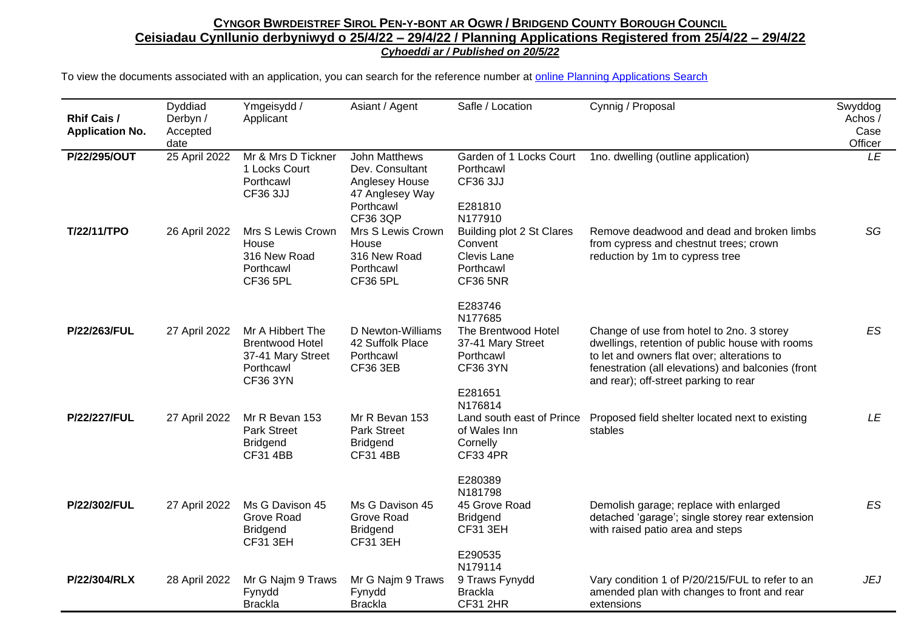## CYNGOR BWRDEISTREF SIROL PEN-Y-BONT AR OGWR / BRIDGEND COUNTY BOROUGH COUNCIL **Ceisiadau Cynllunio derbyniwyd o 25/4/22 – 29/4/22 / Planning Applications Registered from 25/4/22 – 29/4/22** *Cyhoeddi ar / Published on 20/5/22*

To view the documents associated with an application, you can search for the reference number at [online Planning Applications Search](http://planning.bridgend.gov.uk/)

| <b>Rhif Cais /</b><br><b>Application No.</b> | Dyddiad<br>Derbyn /<br>Accepted<br>date | Ymgeisydd /<br>Applicant                                                                        | Asiant / Agent                                                                                        | Safle / Location                                                                                          | Cynnig / Proposal                                                                                                                                                                                                                          | Swyddog<br>Achos/<br>Case<br>Officer |
|----------------------------------------------|-----------------------------------------|-------------------------------------------------------------------------------------------------|-------------------------------------------------------------------------------------------------------|-----------------------------------------------------------------------------------------------------------|--------------------------------------------------------------------------------------------------------------------------------------------------------------------------------------------------------------------------------------------|--------------------------------------|
| P/22/295/OUT                                 | 25 April 2022                           | Mr & Mrs D Tickner<br>1 Locks Court<br>Porthcawl<br><b>CF36 3JJ</b>                             | John Matthews<br>Dev. Consultant<br>Anglesey House<br>47 Anglesey Way<br>Porthcawl<br><b>CF36 3QP</b> | Garden of 1 Locks Court<br>Porthcawl<br>CF36 3JJ<br>E281810<br>N177910                                    | 1no. dwelling (outline application)                                                                                                                                                                                                        | LE                                   |
| T/22/11/TPO                                  | 26 April 2022                           | Mrs S Lewis Crown<br>House<br>316 New Road<br>Porthcawl<br><b>CF36 5PL</b>                      | Mrs S Lewis Crown<br>House<br>316 New Road<br>Porthcawl<br><b>CF36 5PL</b>                            | Building plot 2 St Clares<br>Convent<br>Clevis Lane<br>Porthcawl<br><b>CF36 5NR</b>                       | Remove deadwood and dead and broken limbs<br>from cypress and chestnut trees; crown<br>reduction by 1m to cypress tree                                                                                                                     | SG                                   |
| P/22/263/FUL                                 | 27 April 2022                           | Mr A Hibbert The<br><b>Brentwood Hotel</b><br>37-41 Mary Street<br>Porthcawl<br><b>CF36 3YN</b> | D Newton-Williams<br>42 Suffolk Place<br>Porthcawl<br><b>CF36 3EB</b>                                 | E283746<br>N177685<br>The Brentwood Hotel<br>37-41 Mary Street<br>Porthcawl<br><b>CF36 3YN</b><br>E281651 | Change of use from hotel to 2no. 3 storey<br>dwellings, retention of public house with rooms<br>to let and owners flat over; alterations to<br>fenestration (all elevations) and balconies (front<br>and rear); off-street parking to rear | <b>ES</b>                            |
| <b>P/22/227/FUL</b>                          | 27 April 2022                           | Mr R Bevan 153<br><b>Park Street</b><br><b>Bridgend</b><br><b>CF31 4BB</b>                      | Mr R Bevan 153<br>Park Street<br><b>Bridgend</b><br><b>CF31 4BB</b>                                   | N176814<br>Land south east of Prince<br>of Wales Inn<br>Cornelly<br><b>CF33 4PR</b>                       | Proposed field shelter located next to existing<br>stables                                                                                                                                                                                 | LE                                   |
| P/22/302/FUL                                 | 27 April 2022                           | Ms G Davison 45<br>Grove Road<br><b>Bridgend</b><br><b>CF31 3EH</b>                             | Ms G Davison 45<br>Grove Road<br><b>Bridgend</b><br><b>CF31 3EH</b>                                   | E280389<br>N181798<br>45 Grove Road<br><b>Bridgend</b><br><b>CF31 3EH</b><br>E290535                      | Demolish garage; replace with enlarged<br>detached 'garage'; single storey rear extension<br>with raised patio area and steps                                                                                                              | ES                                   |
| P/22/304/RLX                                 | 28 April 2022                           | Mr G Najm 9 Traws<br>Fynydd<br><b>Brackla</b>                                                   | Mr G Najm 9 Traws<br>Fynydd<br><b>Brackla</b>                                                         | N179114<br>9 Traws Fynydd<br><b>Brackla</b><br><b>CF31 2HR</b>                                            | Vary condition 1 of P/20/215/FUL to refer to an<br>amended plan with changes to front and rear<br>extensions                                                                                                                               | <b>JEJ</b>                           |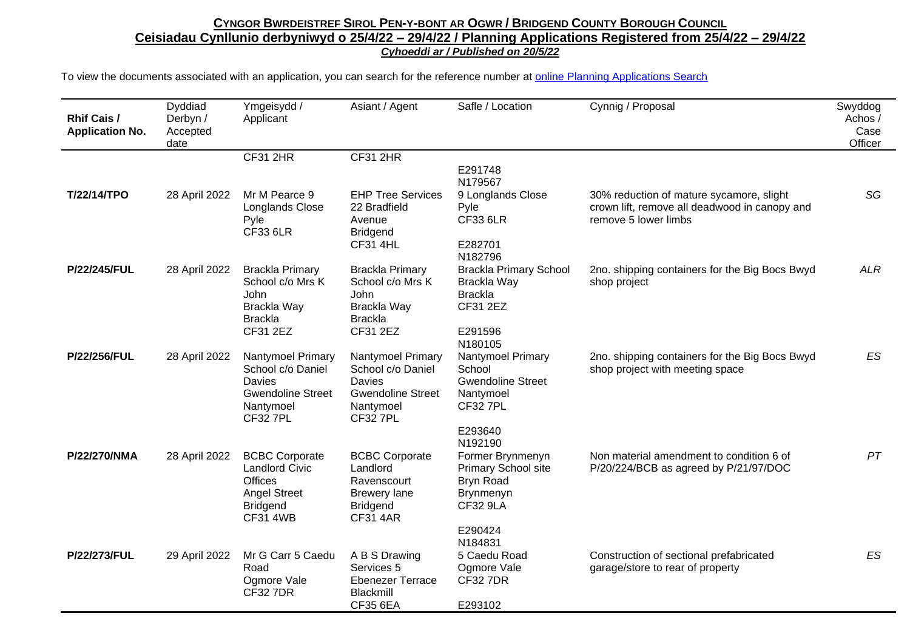## CYNGOR BWRDEISTREF SIROL PEN-Y-BONT AR OGWR / BRIDGEND COUNTY BOROUGH COUNCIL **Ceisiadau Cynllunio derbyniwyd o 25/4/22 – 29/4/22 / Planning Applications Registered from 25/4/22 – 29/4/22** *Cyhoeddi ar / Published on 20/5/22*

To view the documents associated with an application, you can search for the reference number at [online Planning Applications Search](http://planning.bridgend.gov.uk/)

| <b>Rhif Cais /</b><br><b>Application No.</b> | Dyddiad<br>Derbyn /<br>Accepted<br>date | Ymgeisydd /<br>Applicant                                                                                                      | Asiant / Agent                                                                                                | Safle / Location                                                                                       | Cynnig / Proposal                                                                                                 | Swyddog<br>Achos /<br>Case<br>Officer |
|----------------------------------------------|-----------------------------------------|-------------------------------------------------------------------------------------------------------------------------------|---------------------------------------------------------------------------------------------------------------|--------------------------------------------------------------------------------------------------------|-------------------------------------------------------------------------------------------------------------------|---------------------------------------|
|                                              |                                         | <b>CF31 2HR</b>                                                                                                               | <b>CF31 2HR</b>                                                                                               |                                                                                                        |                                                                                                                   |                                       |
|                                              |                                         |                                                                                                                               |                                                                                                               | E291748<br>N179567                                                                                     |                                                                                                                   |                                       |
| T/22/14/TPO                                  | 28 April 2022                           | Mr M Pearce 9<br>Longlands Close<br>Pyle<br><b>CF33 6LR</b>                                                                   | <b>EHP Tree Services</b><br>22 Bradfield<br>Avenue<br><b>Bridgend</b><br><b>CF31 4HL</b>                      | 9 Longlands Close<br>Pyle<br><b>CF33 6LR</b><br>E282701                                                | 30% reduction of mature sycamore, slight<br>crown lift, remove all deadwood in canopy and<br>remove 5 lower limbs | SG                                    |
| P/22/245/FUL                                 | 28 April 2022                           | <b>Brackla Primary</b><br>School c/o Mrs K<br>John<br>Brackla Way<br><b>Brackla</b><br>CF31 2EZ                               | <b>Brackla Primary</b><br>School c/o Mrs K<br>John<br>Brackla Way<br><b>Brackla</b><br>CF31 2EZ               | N182796<br><b>Brackla Primary School</b><br>Brackla Way<br><b>Brackla</b><br>CF31 2EZ<br>E291596       | 2no. shipping containers for the Big Bocs Bwyd<br>shop project                                                    | <b>ALR</b>                            |
|                                              |                                         |                                                                                                                               |                                                                                                               | N180105                                                                                                |                                                                                                                   |                                       |
| P/22/256/FUL                                 | 28 April 2022                           | Nantymoel Primary<br>School c/o Daniel<br>Davies<br><b>Gwendoline Street</b><br>Nantymoel<br><b>CF32 7PL</b>                  | Nantymoel Primary<br>School c/o Daniel<br>Davies<br><b>Gwendoline Street</b><br>Nantymoel<br><b>CF32 7PL</b>  | Nantymoel Primary<br>School<br><b>Gwendoline Street</b><br>Nantymoel<br><b>CF32 7PL</b>                | 2no. shipping containers for the Big Bocs Bwyd<br>shop project with meeting space                                 | ES                                    |
|                                              |                                         |                                                                                                                               |                                                                                                               | E293640                                                                                                |                                                                                                                   |                                       |
| P/22/270/NMA                                 | 28 April 2022                           | <b>BCBC Corporate</b><br><b>Landlord Civic</b><br><b>Offices</b><br><b>Angel Street</b><br><b>Bridgend</b><br><b>CF31 4WB</b> | <b>BCBC Corporate</b><br>Landlord<br>Ravenscourt<br><b>Brewery lane</b><br><b>Bridgend</b><br><b>CF31 4AR</b> | N192190<br>Former Brynmenyn<br><b>Primary School site</b><br>Bryn Road<br>Brynmenyn<br><b>CF32 9LA</b> | Non material amendment to condition 6 of<br>P/20/224/BCB as agreed by P/21/97/DOC                                 | PT                                    |
|                                              |                                         |                                                                                                                               |                                                                                                               | E290424                                                                                                |                                                                                                                   |                                       |
| P/22/273/FUL                                 | 29 April 2022                           | Mr G Carr 5 Caedu<br>Road<br>Ogmore Vale<br><b>CF32 7DR</b>                                                                   | A B S Drawing<br>Services 5<br><b>Ebenezer Terrace</b><br><b>Blackmill</b><br><b>CF35 6EA</b>                 | N184831<br>5 Caedu Road<br>Ogmore Vale<br><b>CF32 7DR</b><br>E293102                                   | Construction of sectional prefabricated<br>garage/store to rear of property                                       | <b>ES</b>                             |